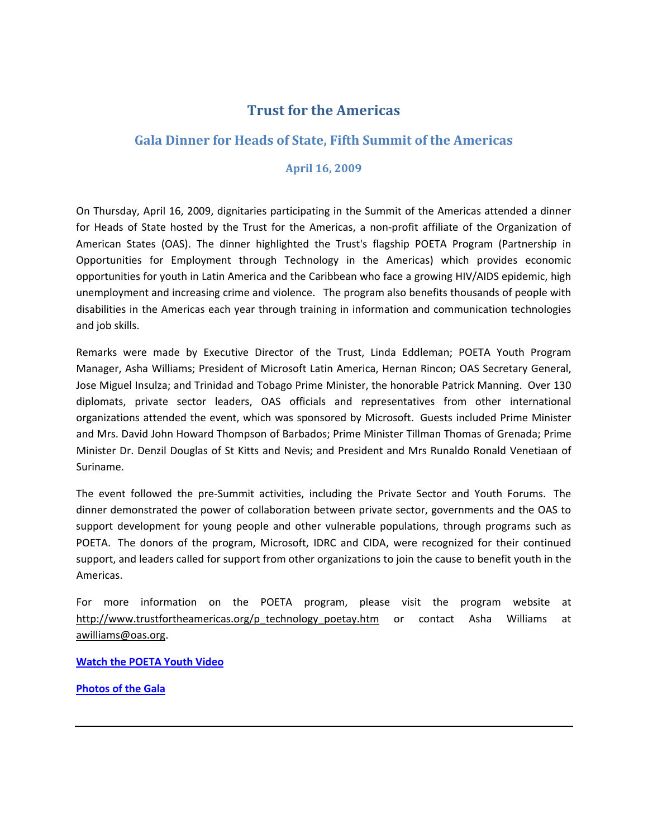## **Trust for the Americas**

## **Gala Dinner for Heads of State, Fifth Summit of the Americas**

## **April 16, 2009**

On Thursday, April 16, 2009, dignitaries participating in the Summit of the Americas attended a dinner for Heads of State hosted by the Trust for the Americas, a non‐profit affiliate of the Organization of American States (OAS). The dinner highlighted the Trust's flagship POETA Program (Partnership in Opportunities for Employment through Technology in the Americas) which provides economic opportunities for youth in Latin America and the Caribbean who face a growing HIV/AIDS epidemic, high unemployment and increasing crime and violence. The program also benefits thousands of people with disabilities in the Americas each year through training in information and communication technologies and job skills.

Remarks were made by Executive Director of the Trust, Linda Eddleman; POETA Youth Program Manager, Asha Williams; President of Microsoft Latin America, Hernan Rincon; OAS Secretary General, Jose Miguel Insulza; and Trinidad and Tobago Prime Minister, the honorable Patrick Manning. Over 130 diplomats, private sector leaders, OAS officials and representatives from other international organizations attended the event, which was sponsored by Microsoft. Guests included Prime Minister and Mrs. David John Howard Thompson of Barbados; Prime Minister Tillman Thomas of Grenada; Prime Minister Dr. Denzil Douglas of St Kitts and Nevis; and President and Mrs Runaldo Ronald Venetiaan of Suriname.

The event followed the pre‐Summit activities, including the Private Sector and Youth Forums. The dinner demonstrated the power of collaboration between private sector, governments and the OAS to support development for young people and other vulnerable populations, through programs such as POETA. The donors of the program, Microsoft, IDRC and CIDA, were recognized for their continued support, and leaders called for support from other organizations to join the cause to benefit youth in the Americas.

For more information on the POETA program, please visit the program website at [http://www.trustfortheamericas.org/p\\_technology\\_poetay.htm](http://www.trustfortheamericas.org/p_technology_poetay.htm) or contact Asha Williams at [awilliams@oas.org](mailto:awilliams@oas.org).

**Watch the [POETA](http://www.youtube.com/watch?v=OfPJ7_7440E) Youth Video**

**[Photos](http://cid-88ff5c01558fc0c4.profile.live.com/) of the Gala**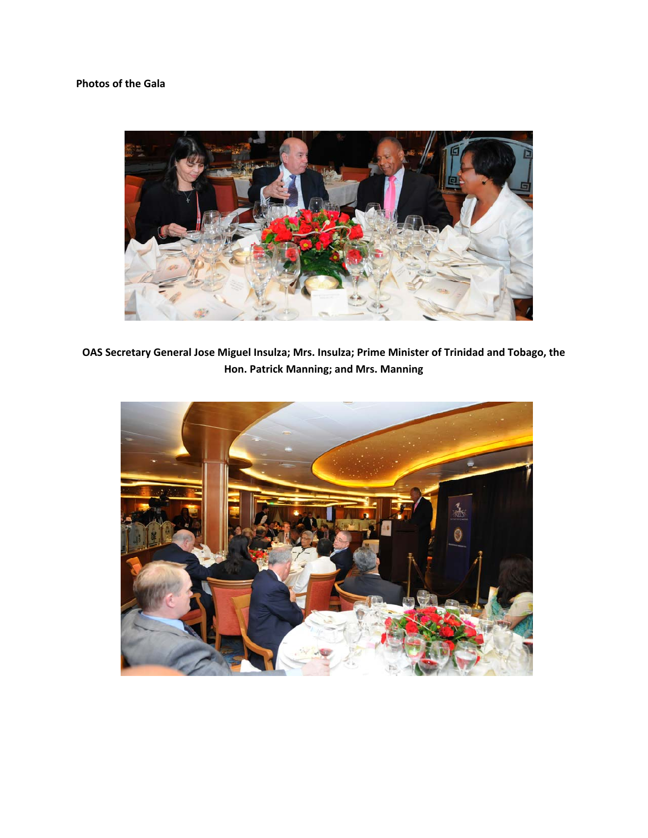## **Photos of the Gala**



**OAS Secretary General Jose Miguel Insulza; Mrs. Insulza; Prime Minister of Trinidad and Tobago, the Hon. Patrick Manning; and Mrs. Manning**

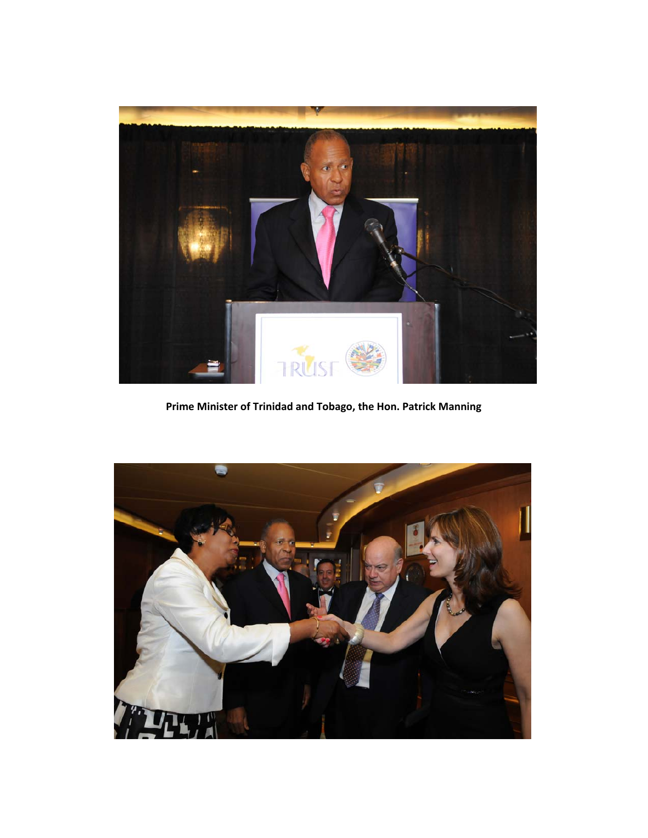

**Prime Minister of Trinidad and Tobago, the Hon. Patrick Manning**